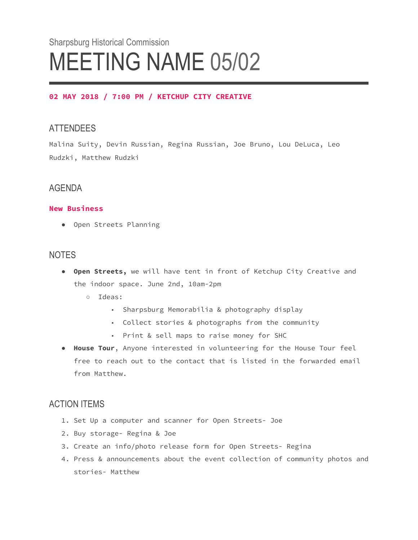# Sharpsburg Historical Commission MEETING NAME 05/02

#### **02 MAY 2018 / 7:00 PM / KETCHUP CITY CREATIVE**

## ATTENDEES

Malina Suity, Devin Russian, Regina Russian, Joe Bruno, Lou DeLuca, Leo Rudzki, Matthew Rudzki

## AGENDA

#### **New Business**

● Open Streets Planning

### **NOTES**

- **Open Streets,** we will have tent in front of Ketchup City Creative and the indoor space. June 2nd, 10am-2pm
	- Ideas:
		- Sharpsburg Memorabilia & photography display
		- Collect stories & photographs from the community
		- Print & sell maps to raise money for SHC
- **House Tour**, Anyone interested in volunteering for the House Tour feel free to reach out to the contact that is listed in the forwarded email from Matthew.

## ACTION ITEMS

- 1. Set Up a computer and scanner for Open Streets- Joe
- 2. Buy storage- Regina & Joe
- 3. Create an info/photo release form for Open Streets- Regina
- 4. Press & announcements about the event collection of community photos and stories- Matthew